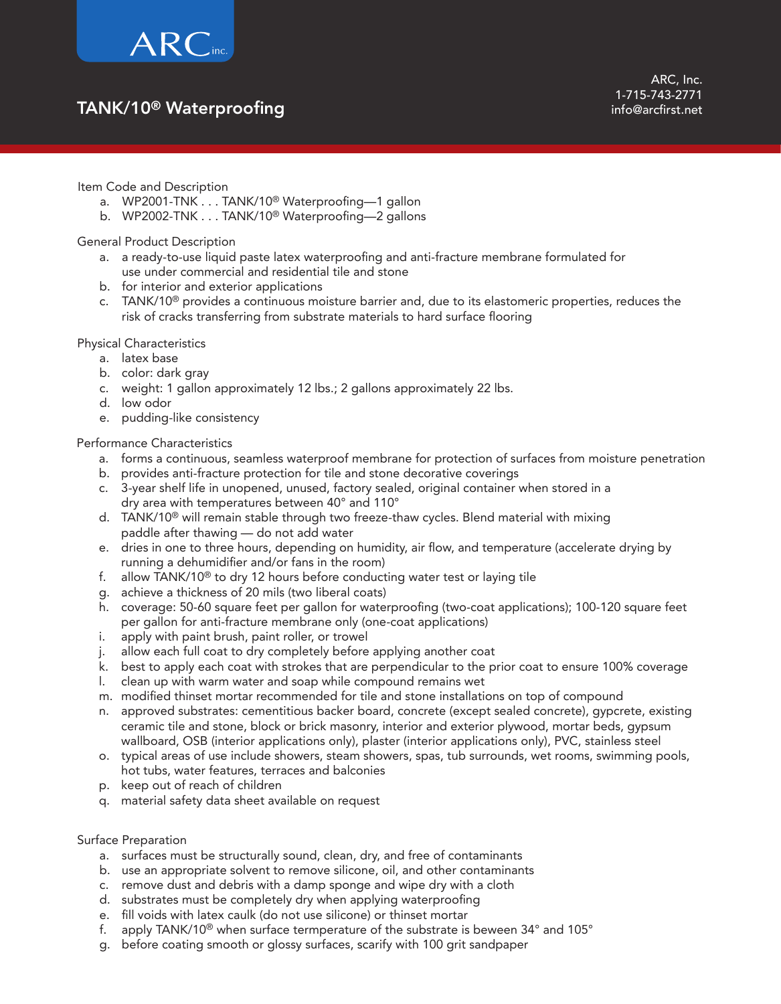

## TANK/10® Waterproofing

Item Code and Description

- a. WP2001-TNK . . . TANK/10® Waterproofing—1 gallon
- b. WP2002-TNK . . . TANK/10® Waterproofing—2 gallons

General Product Description

- a. a ready-to-use liquid paste latex waterproofing and anti-fracture membrane formulated for use under commercial and residential tile and stone
- b. for interior and exterior applications
- c. TANK/10® provides a continuous moisture barrier and, due to its elastomeric properties, reduces the risk of cracks transferring from substrate materials to hard surface flooring

Physical Characteristics

- a. latex base
- b. color: dark gray
- c. weight: 1 gallon approximately 12 lbs.; 2 gallons approximately 22 lbs.
- d. low odor
- e. pudding-like consistency

### Performance Characteristics

- a. forms a continuous, seamless waterproof membrane for protection of surfaces from moisture penetration
- b. provides anti-fracture protection for tile and stone decorative coverings
- c. 3-year shelf life in unopened, unused, factory sealed, original container when stored in a dry area with temperatures between 40° and 110°
- d. TANK/10® will remain stable through two freeze-thaw cycles. Blend material with mixing paddle after thawing — do not add water
- e. dries in one to three hours, depending on humidity, air flow, and temperature (accelerate drying by running a dehumidifier and/or fans in the room)
- f. allow TANK/10® to dry 12 hours before conducting water test or laying tile
- g. achieve a thickness of 20 mils (two liberal coats)
- h. coverage: 50-60 square feet per gallon for waterproofing (two-coat applications); 100-120 square feet per gallon for anti-fracture membrane only (one-coat applications)
- i. apply with paint brush, paint roller, or trowel
- j. allow each full coat to dry completely before applying another coat
- k. best to apply each coat with strokes that are perpendicular to the prior coat to ensure 100% coverage
- l. clean up with warm water and soap while compound remains wet
- m. modified thinset mortar recommended for tile and stone installations on top of compound
- n. approved substrates: cementitious backer board, concrete (except sealed concrete), gypcrete, existing ceramic tile and stone, block or brick masonry, interior and exterior plywood, mortar beds, gypsum wallboard, OSB (interior applications only), plaster (interior applications only), PVC, stainless steel
- o. typical areas of use include showers, steam showers, spas, tub surrounds, wet rooms, swimming pools, hot tubs, water features, terraces and balconies
- p. keep out of reach of children
- q. material safety data sheet available on request
- Surface Preparation
	- a. surfaces must be structurally sound, clean, dry, and free of contaminants
	- b. use an appropriate solvent to remove silicone, oil, and other contaminants
	- c. remove dust and debris with a damp sponge and wipe dry with a cloth
	- d. substrates must be completely dry when applying waterproofing
	- e. fill voids with latex caulk (do not use silicone) or thinset mortar
	- f. apply TANK/10® when surface termperature of the substrate is beween 34° and 105°
	- g. before coating smooth or glossy surfaces, scarify with 100 grit sandpaper